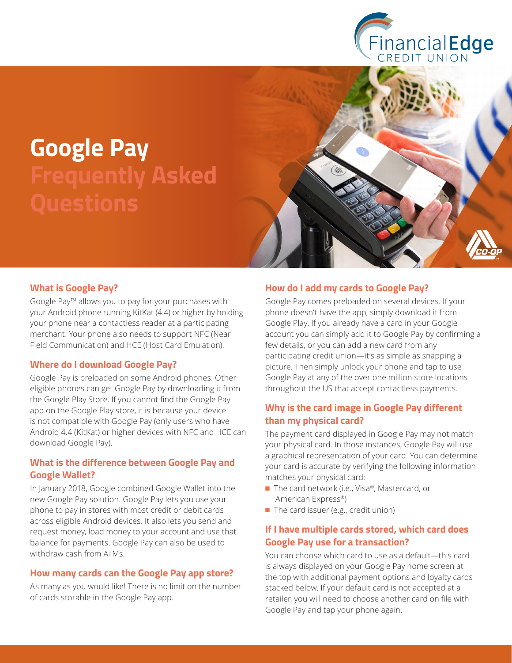

# **Google Pay Frequently Asked Questions**



#### **What is Google Pay?**

Google Pay™ allows you to pay for your purchases with your Android phone running KitKat (4.4) or higher by holding your phone near a contactless reader at a participating merchant. Your phone also needs to support NFC (Near Field Communication) and HCE (Host Card Emulation).

#### **Where do I download Google Pay?**

Google Pay is preloaded on some Android phones. Other eligible phones can get Google Pay by downloading it from the Google Play Store. If you cannot find the Google Pay app on the Google Play store, it is because your device is not compatible with Google Pay (only users who have Android 4.4 (KitKat) or higher devices with NFC and HCE can download Google Pay).

#### **What is the difference between Google Pay and Google Wallet?**

In January 2018, Google combined Google Wallet into the new Google Pay solution. Google Pay lets you use your phone to pay in stores with most credit or debit cards across eligible Android devices. It also lets you send and request money, load money to your account and use that balance for payments. Google Pay can also be used to withdraw cash from ATMs.

#### **How many cards can the Google Pay app store?**

As many as you would like! There is no limit on the number of cards storable in the Google Pay app.

#### **How do I add my cards to Google Pay?**

Google Pay comes preloaded on several devices. If your phone doesn't have the app, simply download it from Google Play. If you already have a card in your Google account you can simply add it to Google Pay by confirming a few details, or you can add a new card from any participating credit union—it's as simple as snapping a picture. Then simply unlock your phone and tap to use Google Pay at any of the over one million store locations throughout the US that accept contactless payments.

## **Why is the card image in Google Pay different than my physical card?**

The payment card displayed in Google Pay may not match your physical card. In those instances, Google Pay will use a graphical representation of your card. You can determine your card is accurate by verifying the following information matches your physical card:

- The card network (i.e., Visa®, Mastercard, or American Express®)
- The card issuer (e.g., credit union)

#### **If I have multiple cards stored, which card does Google Pay use for a transaction?**

You can choose which card to use as a default—this card is always displayed on your Google Pay home screen at the top with additional payment options and loyalty cards stacked below. If your default card is not accepted at a retailer, you will need to choose another card on file with Google Pay and tap your phone again.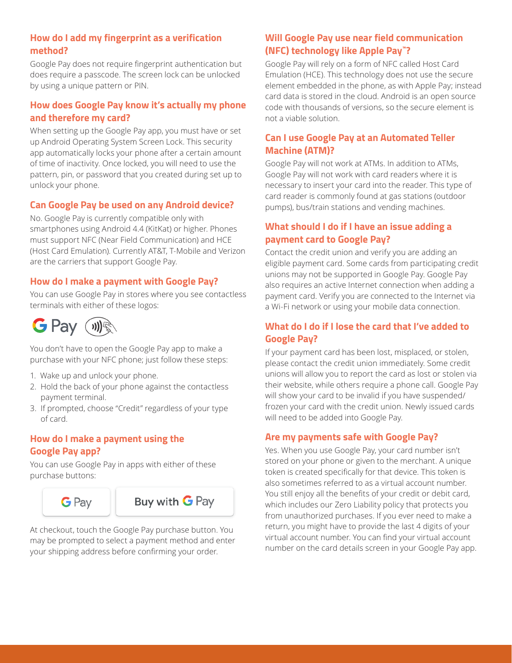## **How do I add my fingerprint as a verification method?**

Google Pay does not require fingerprint authentication but does require a passcode. The screen lock can be unlocked by using a unique pattern or PIN.

## **How does Google Pay know it's actually my phone and therefore my card?**

When setting up the Google Pay app, you must have or set up Android Operating System Screen Lock. This security app automatically locks your phone after a certain amount of time of inactivity. Once locked, you will need to use the pattern, pin, or password that you created during set up to unlock your phone.

## **Can Google Pay be used on any Android device?**

No. Google Pay is currently compatible only with smartphones using Android 4.4 (KitKat) or higher. Phones must support NFC (Near Field Communication) and HCE (Host Card Emulation). Currently AT&T, T-Mobile and Verizon are the carriers that support Google Pay.

## **How do I make a payment with Google Pay?**

You can use Google Pay in stores where you see contactless terminals with either of these logos:



You don't have to open the Google Pay app to make a purchase with your NFC phone; just follow these steps:

- 1. Wake up and unlock your phone.
- 2. Hold the back of your phone against the contactless payment terminal.
- 3. If prompted, choose "Credit" regardless of your type of card.

#### **How do I make a payment using the Google Pay app?**

You can use Google Pay in apps with either of these purchase buttons:





At checkout, touch the Google Pay purchase button. You may be prompted to select a payment method and enter your shipping address before confirming your order.

## **Will Google Pay use near field communication (NFC) technology like Apple Pay™?**

Google Pay will rely on a form of NFC called Host Card Emulation (HCE). This technology does not use the secure element embedded in the phone, as with Apple Pay; instead card data is stored in the cloud. Android is an open source code with thousands of versions, so the secure element is not a viable solution.

## **Can I use Google Pay at an Automated Teller Machine (ATM)?**

Google Pay will not work at ATMs. In addition to ATMs, Google Pay will not work with card readers where it is necessary to insert your card into the reader. This type of card reader is commonly found at gas stations (outdoor pumps), bus/train stations and vending machines.

## **What should I do if I have an issue adding a payment card to Google Pay?**

Contact the credit union and verify you are adding an eligible payment card. Some cards from participating credit unions may not be supported in Google Pay. Google Pay also requires an active Internet connection when adding a payment card. Verify you are connected to the Internet via a Wi-Fi network or using your mobile data connection.

## **What do I do if I lose the card that I've added to Google Pay?**

If your payment card has been lost, misplaced, or stolen, please contact the credit union immediately. Some credit unions will allow you to report the card as lost or stolen via their website, while others require a phone call. Google Pay will show your card to be invalid if you have suspended/ frozen your card with the credit union. Newly issued cards will need to be added into Google Pay.

#### **Are my payments safe with Google Pay?**

Yes. When you use Google Pay, your card number isn't stored on your phone or given to the merchant. A unique token is created specifically for that device. This token is also sometimes referred to as a virtual account number. You still enjoy all the benefits of your credit or debit card, which includes our Zero Liability policy that protects you from unauthorized purchases. If you ever need to make a return, you might have to provide the last 4 digits of your virtual account number. You can find your virtual account number on the card details screen in your Google Pay app.